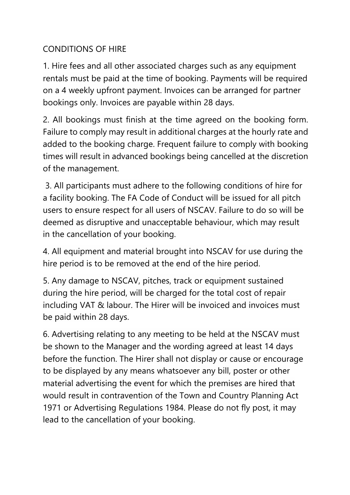## CONDITIONS OF HIRE

1. Hire fees and all other associated charges such as any equipment rentals must be paid at the time of booking. Payments will be required on a 4 weekly upfront payment. Invoices can be arranged for partner bookings only. Invoices are payable within 28 days.

2. All bookings must finish at the time agreed on the booking form. Failure to comply may result in additional charges at the hourly rate and added to the booking charge. Frequent failure to comply with booking times will result in advanced bookings being cancelled at the discretion of the management.

3. All participants must adhere to the following conditions of hire for a facility booking. The FA Code of Conduct will be issued for all pitch users to ensure respect for all users of NSCAV. Failure to do so will be deemed as disruptive and unacceptable behaviour, which may result in the cancellation of your booking.

4. All equipment and material brought into NSCAV for use during the hire period is to be removed at the end of the hire period.

5. Any damage to NSCAV, pitches, track or equipment sustained during the hire period, will be charged for the total cost of repair including VAT & labour. The Hirer will be invoiced and invoices must be paid within 28 days.

6. Advertising relating to any meeting to be held at the NSCAV must be shown to the Manager and the wording agreed at least 14 days before the function. The Hirer shall not display or cause or encourage to be displayed by any means whatsoever any bill, poster or other material advertising the event for which the premises are hired that would result in contravention of the Town and Country Planning Act 1971 or Advertising Regulations 1984. Please do not fly post, it may lead to the cancellation of your booking.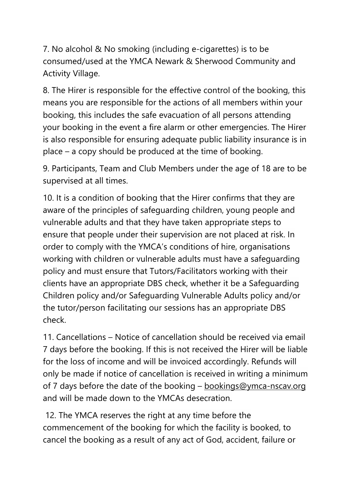7. No alcohol & No smoking (including e-cigarettes) is to be consumed/used at the YMCA Newark & Sherwood Community and Activity Village.

8. The Hirer is responsible for the effective control of the booking, this means you are responsible for the actions of all members within your booking, this includes the safe evacuation of all persons attending your booking in the event a fire alarm or other emergencies. The Hirer is also responsible for ensuring adequate public liability insurance is in place – a copy should be produced at the time of booking.

9. Participants, Team and Club Members under the age of 18 are to be supervised at all times.

10. It is a condition of booking that the Hirer confirms that they are aware of the principles of safeguarding children, young people and vulnerable adults and that they have taken appropriate steps to ensure that people under their supervision are not placed at risk. In order to comply with the YMCA's conditions of hire, organisations working with children or vulnerable adults must have a safeguarding policy and must ensure that Tutors/Facilitators working with their clients have an appropriate DBS check, whether it be a Safeguarding Children policy and/or Safeguarding Vulnerable Adults policy and/or the tutor/person facilitating our sessions has an appropriate DBS check.

11. Cancellations – Notice of cancellation should be received via email 7 days before the booking. If this is not received the Hirer will be liable for the loss of income and will be invoiced accordingly. Refunds will only be made if notice of cancellation is received in writing a minimum of 7 days before the date of the booking  $-\underline{bookings@ymca-nscav.org}$ and will be made down to the YMCAs desecration.

12. The YMCA reserves the right at any time before the commencement of the booking for which the facility is booked, to cancel the booking as a result of any act of God, accident, failure or